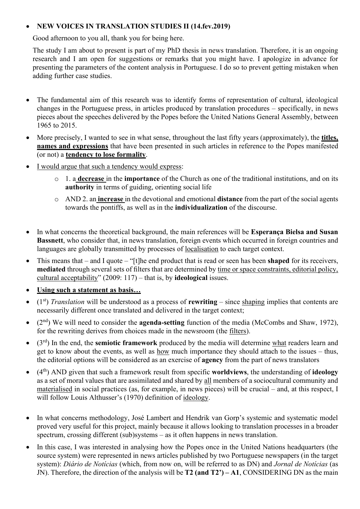## • **NEW VOICES IN TRANSLATION STUDIES II (14.fev.2019)**

Good afternoon to you all, thank you for being here.

The study I am about to present is part of my PhD thesis in news translation. Therefore, it is an ongoing research and I am open for suggestions or remarks that you might have. I apologize in advance for presenting the parameters of the content analysis in Portuguese. I do so to prevent getting mistaken when adding further case studies.

- The fundamental aim of this research was to identify forms of representation of cultural, ideological changes in the Portuguese press, in articles produced by translation procedures – specifically, in news pieces about the speeches delivered by the Popes before the United Nations General Assembly, between 1965 to 2015.
- More precisely, I wanted to see in what sense, throughout the last fifty years (approximately), the **titles, names and expressions** that have been presented in such articles in reference to the Popes manifested (or not) a **tendency to lose formality**.
- I would argue that such a tendency would express:
	- o 1. a **decrease** in the **importance** of the Church as one of the traditional institutions, and on its **authority** in terms of guiding, orienting social life
	- o AND 2. an **increase** in the devotional and emotional **distance** from the part of the social agents towards the pontiffs, as well as in the **individualization** of the discourse.
- In what concerns the theoretical background, the main references will be **Esperança Bielsa and Susan Bassnett**, who consider that, in news translation, foreign events which occurred in foreign countries and languages are globally transmitted by processes of localisation to each target context.
- This means that and I quote "[t]he end product that is read or seen has been **shaped** for its receivers, **mediated** through several sets of filters that are determined by time or space constraints, editorial policy, cultural acceptability" (2009: 117) – that is, by **ideological** issues.
- **Using such a statement as basis…**
- (1st) *Translation* will be understood as a process of **rewriting** since shaping implies that contents are necessarily different once translated and delivered in the target context;
- (2 nd) We will need to consider the **agenda-setting** function of the media (McCombs and Shaw, 1972), for the rewriting derives from choices made in the newsroom (the filters).
- (3rd) In the end, the **semiotic framework** produced by the media will determine what readers learn and get to know about the events, as well as how much importance they should attach to the issues – thus, the editorial options will be considered as an exercise of **agency** from the part of news translators
- (4 th) AND given that such a framework result from specific **worldviews**, the understanding of **ideology** as a set of moral values that are assimilated and shared by all members of a sociocultural community and materialised in social practices (as, for example, in news pieces) will be crucial – and, at this respect, I will follow Louis Althusser's (1970) definition of ideology.
- In what concerns methodology, José Lambert and Hendrik van Gorp's systemic and systematic model proved very useful for this project, mainly because it allows looking to translation processes in a broader spectrum, crossing different (sub)systems – as it often happens in news translation.
- In this case, I was interested in analysing how the Popes once in the United Nations headquarters (the source system) were represented in news articles published by two Portuguese newspapers (in the target system): *Diário de Notícias* (which, from now on, will be referred to as DN) and *Jornal de Notícias* (as JN). Therefore, the direction of the analysis will be **T2 (and T2') – A1**, CONSIDERING DN as the main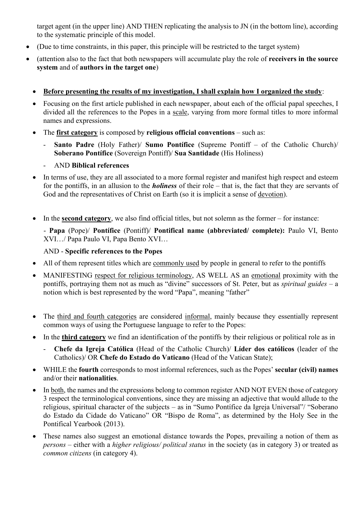target agent (in the upper line) AND THEN replicating the analysis to JN (in the bottom line), according to the systematic principle of this model.

- (Due to time constraints, in this paper, this principle will be restricted to the target system)
- (attention also to the fact that both newspapers will accumulate play the role of **receivers in the source system** and of **authors in the target one**)
	- **Before presenting the results of my investigation, I shall explain how I organized the study**:
	- Focusing on the first article published in each newspaper, about each of the official papal speeches, I divided all the references to the Popes in a scale, varying from more formal titles to more informal names and expressions.
	- The **first category** is composed by **religious official conventions** such as:
		- **Santo Padre** (Holy Father)/ **Sumo Pontífice** (Supreme Pontiff of the Catholic Church)/ **Soberano Pontífice** (Sovereign Pontiff)/ **Sua Santidade** (His Holiness)
		- AND **Biblical references**
	- In terms of use, they are all associated to a more formal register and manifest high respect and esteem for the pontiffs, in an allusion to the *holiness* of their role – that is, the fact that they are servants of God and the representatives of Christ on Earth (so it is implicit a sense of devotion).
	- In the **second category**, we also find official titles, but not solemn as the former for instance:

- **Papa** (Pope)/ **Pontífice** (Pontiff)/ **Pontifical name (abbreviated/ complete):** Paulo VI, Bento XVI…/ Papa Paulo VI, Papa Bento XVI…

## AND - **Specific references to the Popes**

- All of them represent titles which are commonly used by people in general to refer to the pontiffs
- MANIFESTING respect for religious terminology, AS WELL AS an emotional proximity with the pontiffs, portraying them not as much as "divine" successors of St. Peter, but as *spiritual guides* – a notion which is best represented by the word "Papa", meaning "father"
- The third and fourth categories are considered informal, mainly because they essentially represent common ways of using the Portuguese language to refer to the Popes:
- In the **third category** we find an identification of the pontiffs by their religious or political role as in
	- **Chefe da Igreja Católica** (Head of the Catholic Church)/ **Líder dos católicos** (leader of the Catholics)/ OR **Chefe do Estado do Vaticano** (Head of the Vatican State);
- WHILE the **fourth** corresponds to most informal references, such as the Popes' **secular (civil) names** and/or their **nationalities**.
- In both, the names and the expressions belong to common register AND NOT EVEN those of category 3 respect the terminological conventions, since they are missing an adjective that would allude to the religious, spiritual character of the subjects – as in "Sumo Pontífice da Igreja Universal"/ "Soberano do Estado da Cidade do Vaticano" OR "Bispo de Roma", as determined by the Holy See in the Pontifical Yearbook (2013).
- These names also suggest an emotional distance towards the Popes, prevailing a notion of them as *persons* – either with a *higher religious/ political status* in the society (as in category 3) or treated as *common citizens* (in category 4).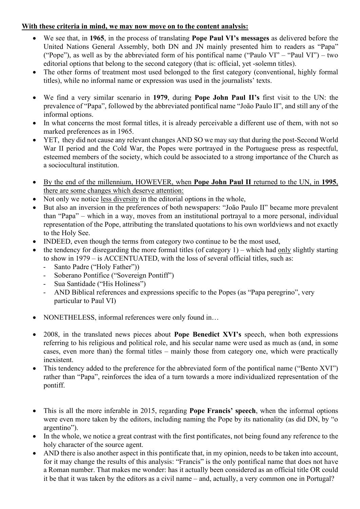## **With these criteria in mind, we may now move on to the content analysis:**

- We see that, in **1965**, in the process of translating **Pope Paul VI's messages** as delivered before the United Nations General Assembly, both DN and JN mainly presented him to readers as "Papa" ("Pope"), as well as by the abbreviated form of his pontifical name ("Paulo VI" – "Paul VI") – two editorial options that belong to the second category (that is: official, yet -solemn titles).
- The other forms of treatment most used belonged to the first category (conventional, highly formal titles), while no informal name or expression was used in the journalists' texts.
- We find a very similar scenario in **1979**, during **Pope John Paul II's** first visit to the UN: the prevalence of "Papa", followed by the abbreviated pontifical name "João Paulo II", and still any of the informal options.
- In what concerns the most formal titles, it is already perceivable a different use of them, with not so marked preferences as in 1965.
- YET, they did not cause any relevant changes AND SO we may say that during the post-Second World War II period and the Cold War, the Popes were portrayed in the Portuguese press as respectful, esteemed members of the society, which could be associated to a strong importance of the Church as a sociocultural institution.
- By the end of the millennium, HOWEVER, when **Pope John Paul II** returned to the UN, in **1995**, there are some changes which deserve attention:
- Not only we notice less diversity in the editorial options in the whole,
- But also an inversion in the preferences of both newspapers: "João Paulo II" became more prevalent than "Papa" – which in a way, moves from an institutional portrayal to a more personal, individual representation of the Pope, attributing the translated quotations to his own worldviews and not exactly to the Holy See.
- INDEED, even though the terms from category two continue to be the most used,
- the tendency for disregarding the more formal titles (of category  $1$ ) which had only slightly starting to show in 1979 – is ACCENTUATED, with the loss of several official titles, such as:
	- Santo Padre ("Holy Father"))
	- Soberano Pontífice ("Sovereign Pontiff")
	- Sua Santidade ("His Holiness")
	- AND Biblical references and expressions specific to the Popes (as "Papa peregrino", very particular to Paul VI)
- NONETHELESS, informal references were only found in…
- 2008, in the translated news pieces about **Pope Benedict XVI's** speech, when both expressions referring to his religious and political role, and his secular name were used as much as (and, in some cases, even more than) the formal titles – mainly those from category one, which were practically inexistent.
- This tendency added to the preference for the abbreviated form of the pontifical name ("Bento XVI") rather than "Papa", reinforces the idea of a turn towards a more individualized representation of the pontiff.
- This is all the more inferable in 2015, regarding **Pope Francis' speech**, when the informal options were even more taken by the editors, including naming the Pope by its nationality (as did DN, by "o argentino").
- In the whole, we notice a great contrast with the first pontificates, not being found any reference to the holy character of the source agent.
- AND there is also another aspect in this pontificate that, in my opinion, needs to be taken into account, for it may change the results of this analysis: "Francis" is the only pontifical name that does not have a Roman number. That makes me wonder: has it actually been considered as an official title OR could it be that it was taken by the editors as a civil name – and, actually, a very common one in Portugal?